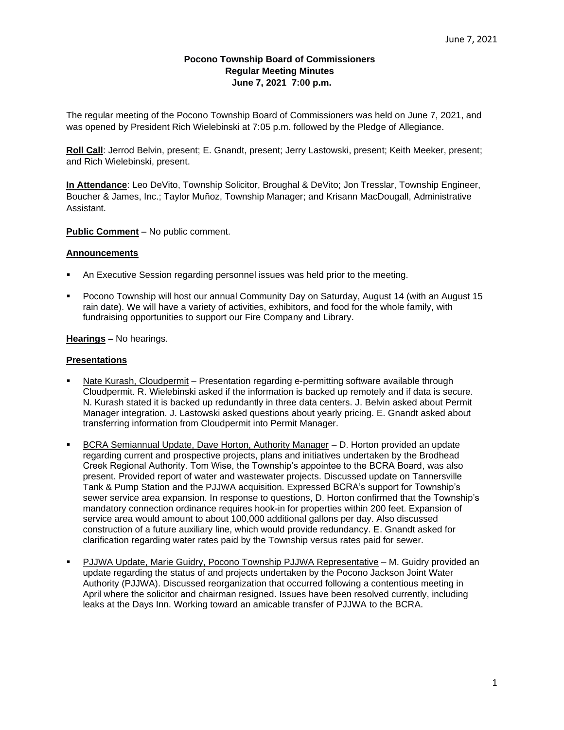### **Pocono Township Board of Commissioners Regular Meeting Minutes June 7, 2021 7:00 p.m.**

The regular meeting of the Pocono Township Board of Commissioners was held on June 7, 2021, and was opened by President Rich Wielebinski at 7:05 p.m. followed by the Pledge of Allegiance.

**Roll Call**: Jerrod Belvin, present; E. Gnandt, present; Jerry Lastowski, present; Keith Meeker, present; and Rich Wielebinski, present.

**In Attendance**: Leo DeVito, Township Solicitor, Broughal & DeVito; Jon Tresslar, Township Engineer, Boucher & James, Inc.; Taylor Muñoz, Township Manager; and Krisann MacDougall, Administrative Assistant.

### **Public Comment** – No public comment.

#### **Announcements**

- An Executive Session regarding personnel issues was held prior to the meeting.
- Pocono Township will host our annual Community Day on Saturday, August 14 (with an August 15 rain date). We will have a variety of activities, exhibitors, and food for the whole family, with fundraising opportunities to support our Fire Company and Library.

#### **Hearings –** No hearings.

#### **Presentations**

- Nate Kurash, Cloudpermit Presentation regarding e-permitting software available through Cloudpermit. R. Wielebinski asked if the information is backed up remotely and if data is secure. N. Kurash stated it is backed up redundantly in three data centers. J. Belvin asked about Permit Manager integration. J. Lastowski asked questions about yearly pricing. E. Gnandt asked about transferring information from Cloudpermit into Permit Manager.
- BCRA Semiannual Update, Dave Horton, Authority Manager D. Horton provided an update regarding current and prospective projects, plans and initiatives undertaken by the Brodhead Creek Regional Authority. Tom Wise, the Township's appointee to the BCRA Board, was also present. Provided report of water and wastewater projects. Discussed update on Tannersville Tank & Pump Station and the PJJWA acquisition. Expressed BCRA's support for Township's sewer service area expansion. In response to questions, D. Horton confirmed that the Township's mandatory connection ordinance requires hook-in for properties within 200 feet. Expansion of service area would amount to about 100,000 additional gallons per day. Also discussed construction of a future auxiliary line, which would provide redundancy. E. Gnandt asked for clarification regarding water rates paid by the Township versus rates paid for sewer.
- PJJWA Update, Marie Guidry, Pocono Township PJJWA Representative M. Guidry provided an update regarding the status of and projects undertaken by the Pocono Jackson Joint Water Authority (PJJWA). Discussed reorganization that occurred following a contentious meeting in April where the solicitor and chairman resigned. Issues have been resolved currently, including leaks at the Days Inn. Working toward an amicable transfer of PJJWA to the BCRA.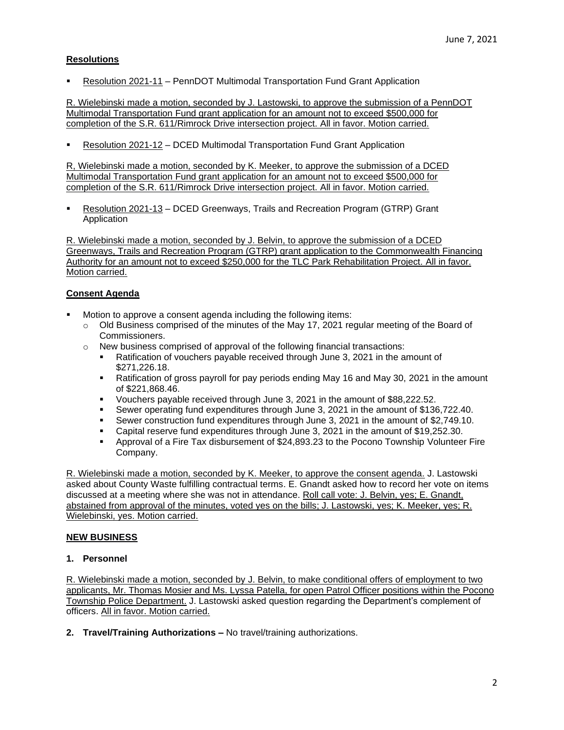# **Resolutions**

Resolution 2021-11 – PennDOT Multimodal Transportation Fund Grant Application

R. Wielebinski made a motion, seconded by J. Lastowski, to approve the submission of a PennDOT Multimodal Transportation Fund grant application for an amount not to exceed \$500,000 for completion of the S.R. 611/Rimrock Drive intersection project. All in favor. Motion carried.

Resolution 2021-12 – DCED Multimodal Transportation Fund Grant Application

R, Wielebinski made a motion, seconded by K. Meeker, to approve the submission of a DCED Multimodal Transportation Fund grant application for an amount not to exceed \$500,000 for completion of the S.R. 611/Rimrock Drive intersection project. All in favor. Motion carried.

Resolution 2021-13 - DCED Greenways, Trails and Recreation Program (GTRP) Grant Application

R. Wielebinski made a motion, seconded by J. Belvin, to approve the submission of a DCED Greenways, Trails and Recreation Program (GTRP) grant application to the Commonwealth Financing Authority for an amount not to exceed \$250,000 for the TLC Park Rehabilitation Project. All in favor. Motion carried.

# **Consent Agenda**

- Motion to approve a consent agenda including the following items:
	- o Old Business comprised of the minutes of the May 17, 2021 regular meeting of the Board of Commissioners.
	- $\circ$  New business comprised of approval of the following financial transactions:
		- **EXECT** Ratification of vouchers payable received through June 3, 2021 in the amount of \$271,226.18.
		- **EXEL A** Ratification of gross payroll for pay periods ending May 16 and May 30, 2021 in the amount of \$221,868.46.
		- Vouchers payable received through June 3, 2021 in the amount of \$88,222.52.
		- Sewer operating fund expenditures through June 3, 2021 in the amount of \$136,722.40.
		- Sewer construction fund expenditures through June 3, 2021 in the amount of \$2,749.10.
		- Capital reserve fund expenditures through June 3, 2021 in the amount of \$19,252.30.
		- Approval of a Fire Tax disbursement of \$24,893.23 to the Pocono Township Volunteer Fire Company.

R. Wielebinski made a motion, seconded by K. Meeker, to approve the consent agenda. J. Lastowski asked about County Waste fulfilling contractual terms. E. Gnandt asked how to record her vote on items discussed at a meeting where she was not in attendance. Roll call vote: J. Belvin, yes; E. Gnandt, abstained from approval of the minutes, voted yes on the bills; J. Lastowski, yes; K. Meeker, yes; R. Wielebinski, yes. Motion carried.

# **NEW BUSINESS**

### **1. Personnel**

R. Wielebinski made a motion, seconded by J. Belvin, to make conditional offers of employment to two applicants, Mr. Thomas Mosier and Ms. Lyssa Patella, for open Patrol Officer positions within the Pocono Township Police Department. J. Lastowski asked question regarding the Department's complement of officers. All in favor. Motion carried.

**2. Travel/Training Authorizations –** No travel/training authorizations.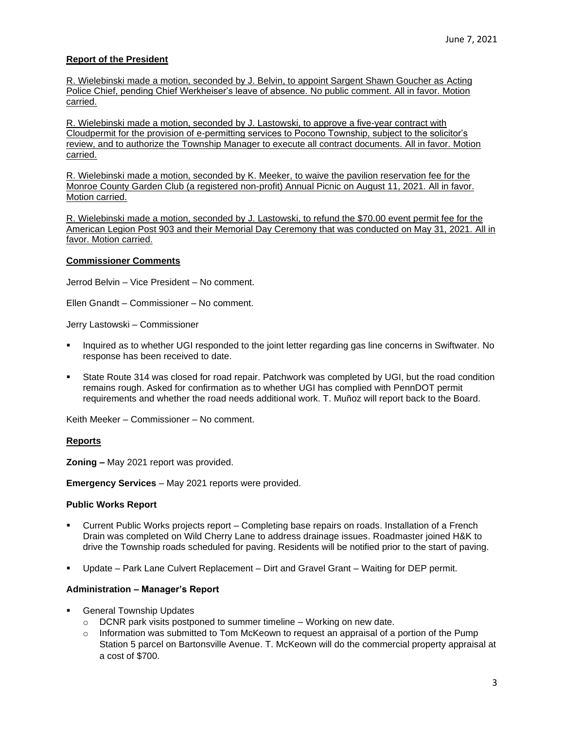### **Report of the President**

R. Wielebinski made a motion, seconded by J. Belvin, to appoint Sargent Shawn Goucher as Acting Police Chief, pending Chief Werkheiser's leave of absence. No public comment. All in favor. Motion carried.

R. Wielebinski made a motion, seconded by J. Lastowski, to approve a five-year contract with Cloudpermit for the provision of e-permitting services to Pocono Township, subject to the solicitor's review, and to authorize the Township Manager to execute all contract documents. All in favor. Motion carried.

R. Wielebinski made a motion, seconded by K. Meeker, to waive the pavilion reservation fee for the Monroe County Garden Club (a registered non-profit) Annual Picnic on August 11, 2021. All in favor. Motion carried.

R. Wielebinski made a motion, seconded by J. Lastowski, to refund the \$70.00 event permit fee for the American Legion Post 903 and their Memorial Day Ceremony that was conducted on May 31, 2021. All in favor. Motion carried.

#### **Commissioner Comments**

Jerrod Belvin – Vice President – No comment.

Ellen Gnandt – Commissioner – No comment.

Jerry Lastowski – Commissioner

- Inquired as to whether UGI responded to the joint letter regarding gas line concerns in Swiftwater. No response has been received to date.
- State Route 314 was closed for road repair. Patchwork was completed by UGI, but the road condition remains rough. Asked for confirmation as to whether UGI has complied with PennDOT permit requirements and whether the road needs additional work. T. Muñoz will report back to the Board.

Keith Meeker – Commissioner – No comment.

### **Reports**

**Zoning –** May 2021 report was provided.

**Emergency Services** – May 2021 reports were provided.

### **Public Works Report**

- Current Public Works projects report Completing base repairs on roads. Installation of a French Drain was completed on Wild Cherry Lane to address drainage issues. Roadmaster joined H&K to drive the Township roads scheduled for paving. Residents will be notified prior to the start of paving.
- Update Park Lane Culvert Replacement Dirt and Gravel Grant Waiting for DEP permit.

### **Administration – Manager's Report**

- **General Township Updates** 
	- $\circ$  DCNR park visits postponed to summer timeline Working on new date.
	- o Information was submitted to Tom McKeown to request an appraisal of a portion of the Pump Station 5 parcel on Bartonsville Avenue. T. McKeown will do the commercial property appraisal at a cost of \$700.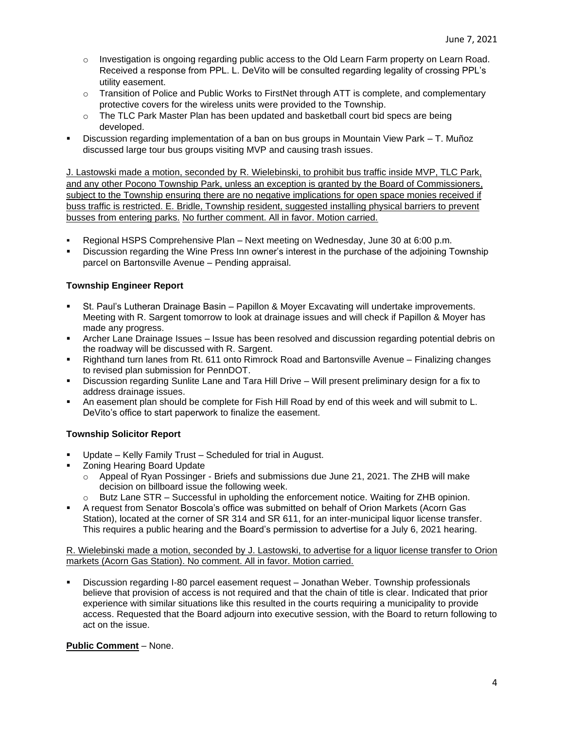- o Investigation is ongoing regarding public access to the Old Learn Farm property on Learn Road. Received a response from PPL. L. DeVito will be consulted regarding legality of crossing PPL's utility easement.
- $\circ$  Transition of Police and Public Works to FirstNet through ATT is complete, and complementary protective covers for the wireless units were provided to the Township.
- $\circ$  The TLC Park Master Plan has been updated and basketball court bid specs are being developed.
- Discussion regarding implementation of a ban on bus groups in Mountain View Park T. Muñoz discussed large tour bus groups visiting MVP and causing trash issues.

J. Lastowski made a motion, seconded by R. Wielebinski, to prohibit bus traffic inside MVP, TLC Park, and any other Pocono Township Park, unless an exception is granted by the Board of Commissioners, subject to the Township ensuring there are no negative implications for open space monies received if buss traffic is restricted. E. Bridle, Township resident, suggested installing physical barriers to prevent busses from entering parks. No further comment. All in favor. Motion carried.

- Regional HSPS Comprehensive Plan Next meeting on Wednesday, June 30 at 6:00 p.m.
- Discussion regarding the Wine Press Inn owner's interest in the purchase of the adjoining Township parcel on Bartonsville Avenue – Pending appraisal.

# **Township Engineer Report**

- St. Paul's Lutheran Drainage Basin Papillon & Mover Excavating will undertake improvements. Meeting with R. Sargent tomorrow to look at drainage issues and will check if Papillon & Moyer has made any progress.
- Archer Lane Drainage Issues Issue has been resolved and discussion regarding potential debris on the roadway will be discussed with R. Sargent.
- Righthand turn lanes from Rt. 611 onto Rimrock Road and Bartonsville Avenue Finalizing changes to revised plan submission for PennDOT.
- Discussion regarding Sunlite Lane and Tara Hill Drive Will present preliminary design for a fix to address drainage issues.
- An easement plan should be complete for Fish Hill Road by end of this week and will submit to L. DeVito's office to start paperwork to finalize the easement.

# **Township Solicitor Report**

- Update Kelly Family Trust Scheduled for trial in August.
- **Zoning Hearing Board Update** 
	- o Appeal of Ryan Possinger Briefs and submissions due June 21, 2021. The ZHB will make decision on billboard issue the following week.
	- $\circ$  Butz Lane STR Successful in upholding the enforcement notice. Waiting for ZHB opinion.
- A request from Senator Boscola's office was submitted on behalf of Orion Markets (Acorn Gas Station), located at the corner of SR 314 and SR 611, for an inter-municipal liquor license transfer. This requires a public hearing and the Board's permission to advertise for a July 6, 2021 hearing.

R. Wielebinski made a motion, seconded by J. Lastowski, to advertise for a liquor license transfer to Orion markets (Acorn Gas Station). No comment. All in favor. Motion carried.

Discussion regarding I-80 parcel easement request – Jonathan Weber. Township professionals believe that provision of access is not required and that the chain of title is clear. Indicated that prior experience with similar situations like this resulted in the courts requiring a municipality to provide access. Requested that the Board adjourn into executive session, with the Board to return following to act on the issue.

# **Public Comment** – None.